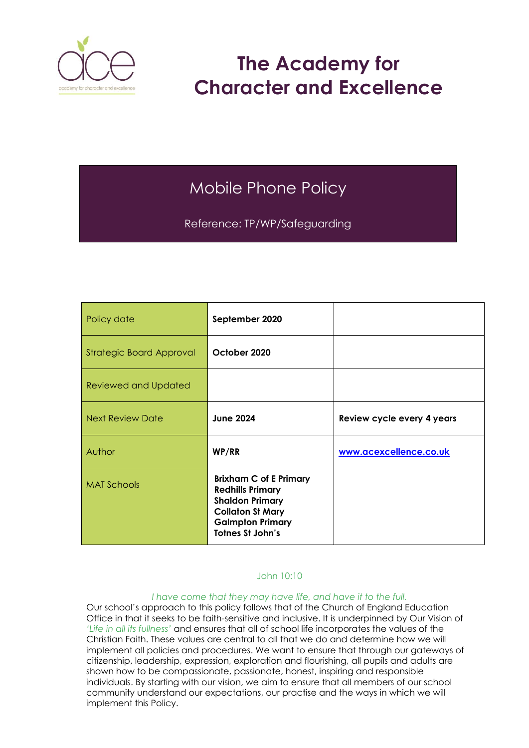

# **The Academy for Character and Excellence**

# Mobile Phone Policy

Reference: TP/WP/Safeguarding

| Policy date                     | September 2020                                                                                                                                                      |                            |
|---------------------------------|---------------------------------------------------------------------------------------------------------------------------------------------------------------------|----------------------------|
| <b>Strategic Board Approval</b> | October 2020                                                                                                                                                        |                            |
| Reviewed and Updated            |                                                                                                                                                                     |                            |
| <b>Next Review Date</b>         | <b>June 2024</b>                                                                                                                                                    | Review cycle every 4 years |
| Author                          | WP/RR                                                                                                                                                               | www.acexcellence.co.uk     |
| <b>MAT Schools</b>              | <b>Brixham C of E Primary</b><br><b>Redhills Primary</b><br><b>Shaldon Primary</b><br><b>Collaton St Mary</b><br><b>Galmpton Primary</b><br><b>Totnes St John's</b> |                            |

#### John 10:10

#### *I have come that they may have life, and have it to the full.*

Our school's approach to this policy follows that of the Church of England Education Office in that it seeks to be faith-sensitive and inclusive. It is underpinned by Our Vision of *'Life in all its fullness'* and ensures that all of school life incorporates the values of the Christian Faith. These values are central to all that we do and determine how we will implement all policies and procedures. We want to ensure that through our gateways of citizenship, leadership, expression, exploration and flourishing, all pupils and adults are shown how to be compassionate, passionate, honest, inspiring and responsible individuals. By starting with our vision, we aim to ensure that all members of our school community understand our expectations, our practise and the ways in which we will implement this Policy.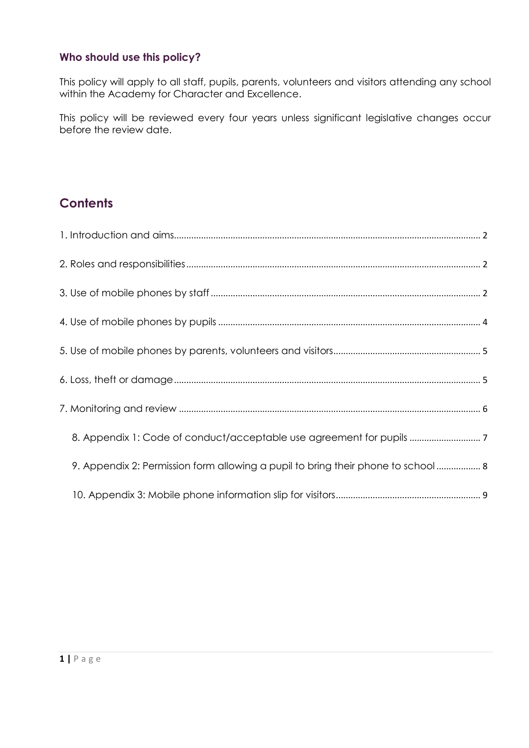#### **Who should use this policy?**

This policy will apply to all staff, pupils, parents, volunteers and visitors attending any school within the Academy for Character and Excellence.

This policy will be reviewed every four years unless significant legislative changes occur before the review date.

## **Contents**

| 9. Appendix 2: Permission form allowing a pupil to bring their phone to school 8 |  |
|----------------------------------------------------------------------------------|--|
|                                                                                  |  |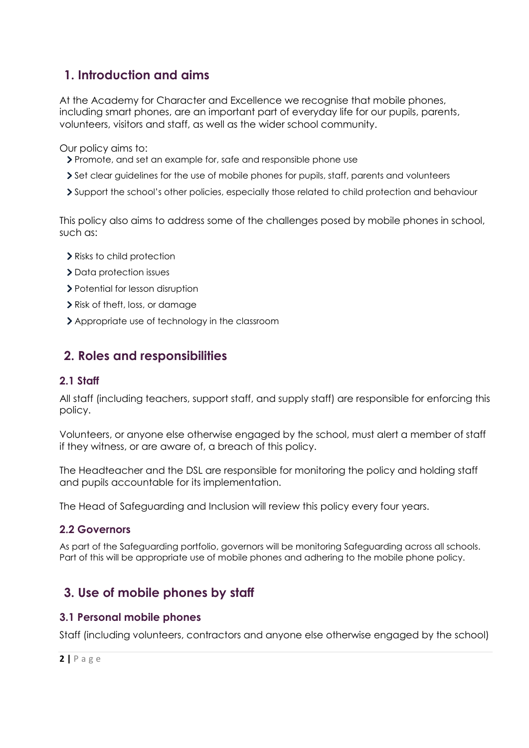## <span id="page-2-0"></span>**1. Introduction and aims**

At the Academy for Character and Excellence we recognise that mobile phones, including smart phones, are an important part of everyday life for our pupils, parents, volunteers, visitors and staff, as well as the wider school community.

Our policy aims to:

- Promote, and set an example for, safe and responsible phone use
- Set clear guidelines for the use of mobile phones for pupils, staff, parents and volunteers
- Support the school's other policies, especially those related to child protection and behaviour

This policy also aims to address some of the challenges posed by mobile phones in school, such as:

- Risks to child protection
- > Data protection issues
- > Potential for lesson disruption
- Risk of theft, loss, or damage
- Appropriate use of technology in the classroom

## <span id="page-2-1"></span>**2. Roles and responsibilities**

#### **2.1 Staff**

All staff (including teachers, support staff, and supply staff) are responsible for enforcing this policy.

Volunteers, or anyone else otherwise engaged by the school, must alert a member of staff if they witness, or are aware of, a breach of this policy.

The Headteacher and the DSL are responsible for monitoring the policy and holding staff and pupils accountable for its implementation.

The Head of Safeguarding and Inclusion will review this policy every four years.

#### **2.2 Governors**

As part of the Safeguarding portfolio, governors will be monitoring Safeguarding across all schools. Part of this will be appropriate use of mobile phones and adhering to the mobile phone policy.

## <span id="page-2-2"></span>**3. Use of mobile phones by staff**

#### **3.1 Personal mobile phones**

Staff (including volunteers, contractors and anyone else otherwise engaged by the school)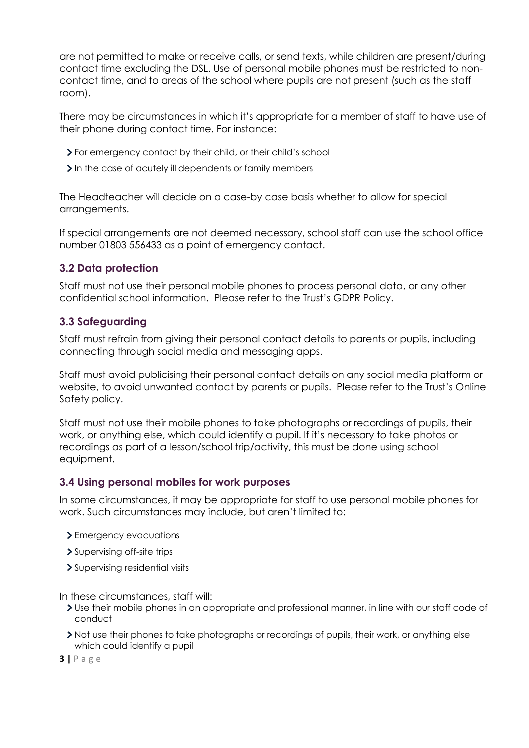are not permitted to make or receive calls, or send texts, while children are present/during contact time excluding the DSL. Use of personal mobile phones must be restricted to noncontact time, and to areas of the school where pupils are not present (such as the staff room).

There may be circumstances in which it's appropriate for a member of staff to have use of their phone during contact time. For instance:

- For emergency contact by their child, or their child's school
- In the case of acutely ill dependents or family members

The Headteacher will decide on a case-by case basis whether to allow for special arrangements.

If special arrangements are not deemed necessary, school staff can use the school office number 01803 556433 as a point of emergency contact.

#### **3.2 Data protection**

Staff must not use their personal mobile phones to process personal data, or any other confidential school information. Please refer to the Trust's GDPR Policy.

#### **3.3 Safeguarding**

Staff must refrain from giving their personal contact details to parents or pupils, including connecting through social media and messaging apps.

Staff must avoid publicising their personal contact details on any social media platform or website, to avoid unwanted contact by parents or pupils. Please refer to the Trust's Online Safety policy.

Staff must not use their mobile phones to take photographs or recordings of pupils, their work, or anything else, which could identify a pupil. If it's necessary to take photos or recordings as part of a lesson/school trip/activity, this must be done using school equipment.

#### **3.4 Using personal mobiles for work purposes**

In some circumstances, it may be appropriate for staff to use personal mobile phones for work. Such circumstances may include, but aren't limited to:

- > Emergency evacuations
- > Supervising off-site trips
- > Supervising residential visits

In these circumstances, staff will:

- Use their mobile phones in an appropriate and professional manner, in line with our staff code of conduct
- Not use their phones to take photographs or recordings of pupils, their work, or anything else which could identify a pupil

**3 |** P a g e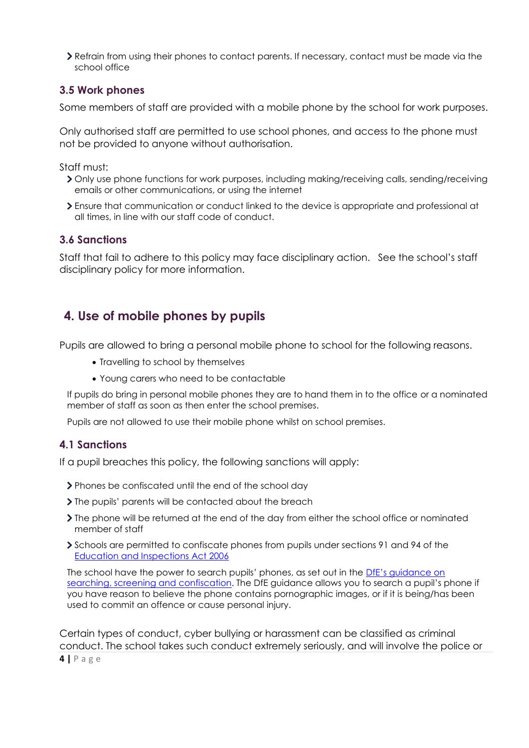Refrain from using their phones to contact parents. If necessary, contact must be made via the school office

#### **3.5 Work phones**

Some members of staff are provided with a mobile phone by the school for work purposes.

Only authorised staff are permitted to use school phones, and access to the phone must not be provided to anyone without authorisation.

Staff must:

- Only use phone functions for work purposes, including making/receiving calls, sending/receiving emails or other communications, or using the internet
- Ensure that communication or conduct linked to the device is appropriate and professional at all times, in line with our staff code of conduct.

#### **3.6 Sanctions**

Staff that fail to adhere to this policy may face disciplinary action. See the school's staff disciplinary policy for more information.

## <span id="page-4-0"></span>**4. Use of mobile phones by pupils**

Pupils are allowed to bring a personal mobile phone to school for the following reasons.

- Travelling to school by themselves
- Young carers who need to be contactable

If pupils do bring in personal mobile phones they are to hand them in to the office or a nominated member of staff as soon as then enter the school premises.

Pupils are not allowed to use their mobile phone whilst on school premises.

#### **4.1 Sanctions**

If a pupil breaches this policy, the following sanctions will apply:

- Phones be confiscated until the end of the school day
- If the pupils' parents will be contacted about the breach
- The phone will be returned at the end of the day from either the school office or nominated member of staff
- Schools are permitted to confiscate phones from pupils under sections 91 and 94 of the [Education and Inspections Act 2006](https://www.legislation.gov.uk/ukpga/2006/40/section/94)

The school have the power to search pupils' phones, as set out in the [DfE's guidance on](https://www.gov.uk/government/publications/searching-screening-and-confiscation)  [searching, screening and confiscation](https://www.gov.uk/government/publications/searching-screening-and-confiscation). The DfE guidance allows you to search a pupil's phone if you have reason to believe the phone contains pornographic images, or if it is being/has been used to commit an offence or cause personal injury.

Certain types of conduct, cyber bullying or harassment can be classified as criminal conduct. The school takes such conduct extremely seriously, and will involve the police or

**4 |** P a g e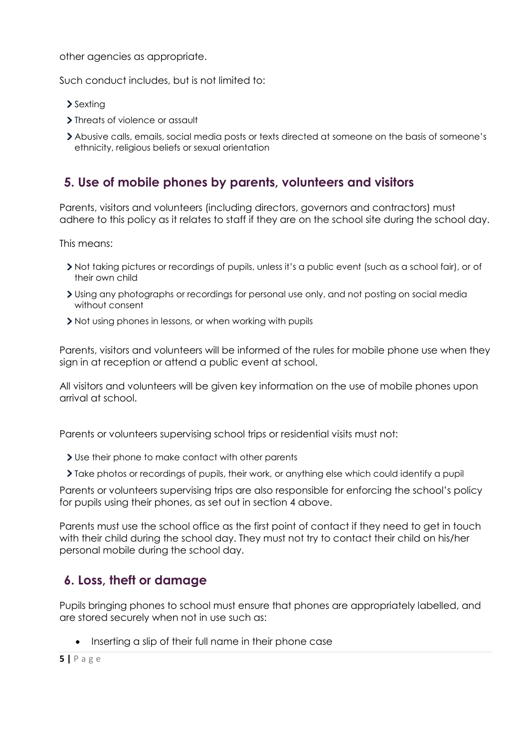other agencies as appropriate.

Such conduct includes, but is not limited to:

- > Sexting
- > Threats of violence or assault
- Abusive calls, emails, social media posts or texts directed at someone on the basis of someone's ethnicity, religious beliefs or sexual orientation

## <span id="page-5-0"></span>**5. Use of mobile phones by parents, volunteers and visitors**

Parents, visitors and volunteers (including directors, governors and contractors) must adhere to this policy as it relates to staff if they are on the school site during the school day.

This means:

- Not taking pictures or recordings of pupils, unless it's a public event (such as a school fair), or of their own child
- Using any photographs or recordings for personal use only, and not posting on social media without consent
- If Not using phones in lessons, or when working with pupils

Parents, visitors and volunteers will be informed of the rules for mobile phone use when they sign in at reception or attend a public event at school.

All visitors and volunteers will be given key information on the use of mobile phones upon arrival at school.

Parents or volunteers supervising school trips or residential visits must not:

- Use their phone to make contact with other parents
- Take photos or recordings of pupils, their work, or anything else which could identify a pupil

Parents or volunteers supervising trips are also responsible for enforcing the school's policy for pupils using their phones, as set out in section 4 above.

Parents must use the school office as the first point of contact if they need to get in touch with their child during the school day. They must not try to contact their child on his/her personal mobile during the school day.

## <span id="page-5-1"></span>**6. Loss, theft or damage**

Pupils bringing phones to school must ensure that phones are appropriately labelled, and are stored securely when not in use such as:

• Inserting a slip of their full name in their phone case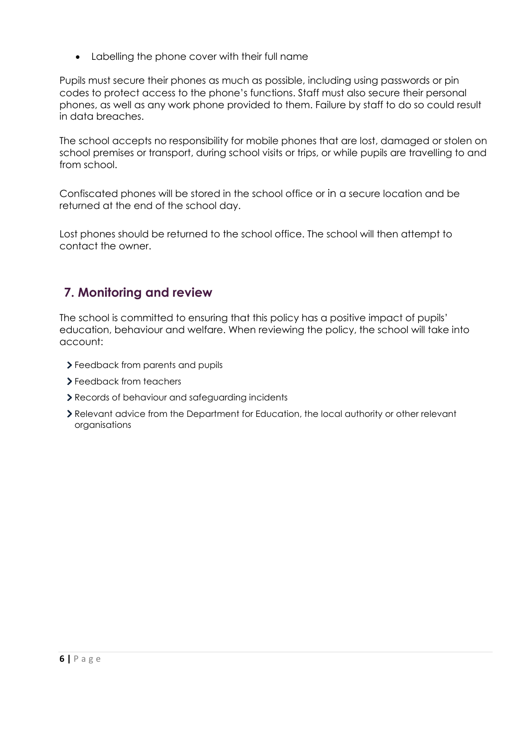Labelling the phone cover with their full name

Pupils must secure their phones as much as possible, including using passwords or pin codes to protect access to the phone's functions. Staff must also secure their personal phones, as well as any work phone provided to them. Failure by staff to do so could result in data breaches.

The school accepts no responsibility for mobile phones that are lost, damaged or stolen on school premises or transport, during school visits or trips, or while pupils are travelling to and from school.

Confiscated phones will be stored in the school office or in a secure location and be returned at the end of the school day.

Lost phones should be returned to the school office. The school will then attempt to contact the owner.

## <span id="page-6-0"></span>**7. Monitoring and review**

The school is committed to ensuring that this policy has a positive impact of pupils' education, behaviour and welfare. When reviewing the policy, the school will take into account:

- Feedback from parents and pupils
- > Feedback from teachers
- Records of behaviour and safeguarding incidents
- Relevant advice from the Department for Education, the local authority or other relevant organisations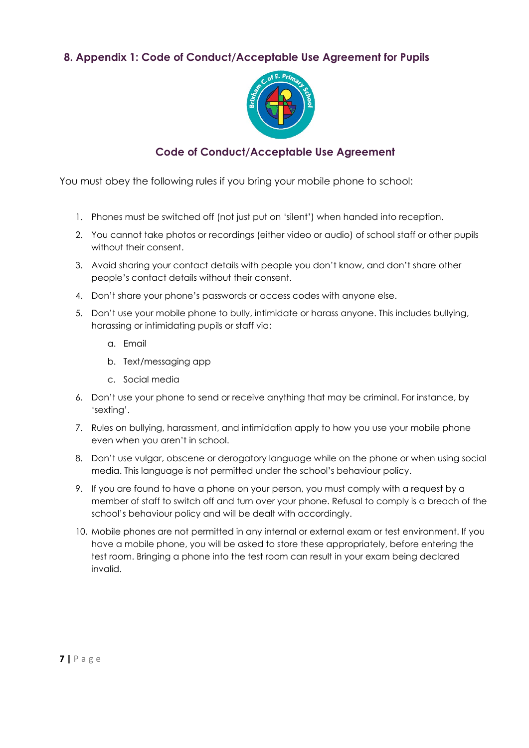### <span id="page-7-0"></span>**8. Appendix 1: Code of Conduct/Acceptable Use Agreement for Pupils**



### **Code of Conduct/Acceptable Use Agreement**

You must obey the following rules if you bring your mobile phone to school:

- 1. Phones must be switched off (not just put on 'silent') when handed into reception.
- 2. You cannot take photos or recordings (either video or audio) of school staff or other pupils without their consent.
- 3. Avoid sharing your contact details with people you don't know, and don't share other people's contact details without their consent.
- 4. Don't share your phone's passwords or access codes with anyone else.
- 5. Don't use your mobile phone to bully, intimidate or harass anyone. This includes bullying, harassing or intimidating pupils or staff via:
	- a. Email
	- b. Text/messaging app
	- c. Social media
- 6. Don't use your phone to send or receive anything that may be criminal. For instance, by 'sexting'.
- 7. Rules on bullying, harassment, and intimidation apply to how you use your mobile phone even when you aren't in school.
- 8. Don't use vulgar, obscene or derogatory language while on the phone or when using social media. This language is not permitted under the school's behaviour policy.
- 9. If you are found to have a phone on your person, you must comply with a request by a member of staff to switch off and turn over your phone. Refusal to comply is a breach of the school's behaviour policy and will be dealt with accordingly.
- 10. Mobile phones are not permitted in any internal or external exam or test environment. If you have a mobile phone, you will be asked to store these appropriately, before entering the test room. Bringing a phone into the test room can result in your exam being declared invalid.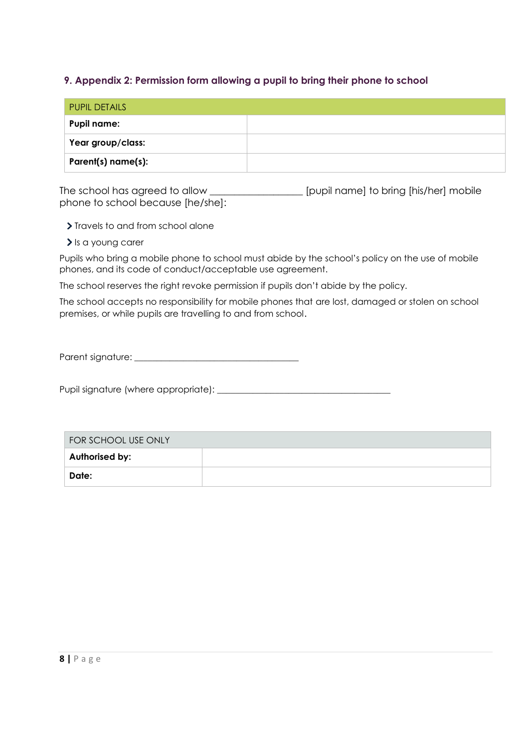#### <span id="page-8-0"></span>**9. Appendix 2: Permission form allowing a pupil to bring their phone to school**

| <b>PUPIL DETAILS</b> |  |
|----------------------|--|
| <b>Pupil name:</b>   |  |
| Year group/class:    |  |
| Parent(s) name(s):   |  |

The school has agreed to allow \_\_\_\_\_\_\_\_\_\_\_\_\_\_\_\_\_\_\_\_ [pupil name] to bring [his/her] mobile phone to school because [he/she]:

> Travels to and from school alone

> Is a young carer

Pupils who bring a mobile phone to school must abide by the school's policy on the use of mobile phones, and its code of conduct/acceptable use agreement.

The school reserves the right revoke permission if pupils don't abide by the policy.

The school accepts no responsibility for mobile phones that are lost, damaged or stolen on school premises, or while pupils are travelling to and from school.

Parent signature: \_\_\_\_\_\_\_\_\_\_\_\_\_\_\_\_\_\_\_\_\_\_\_\_\_\_\_\_\_\_\_\_\_\_\_\_\_

Pupil signature (where appropriate): \_\_\_\_\_\_\_\_\_\_\_\_\_\_\_\_\_\_\_\_\_\_\_\_\_\_\_\_\_\_\_\_\_\_\_\_\_\_\_

| FOR SCHOOL USE ONLY |  |  |
|---------------------|--|--|
| Authorised by:      |  |  |
| Date:               |  |  |